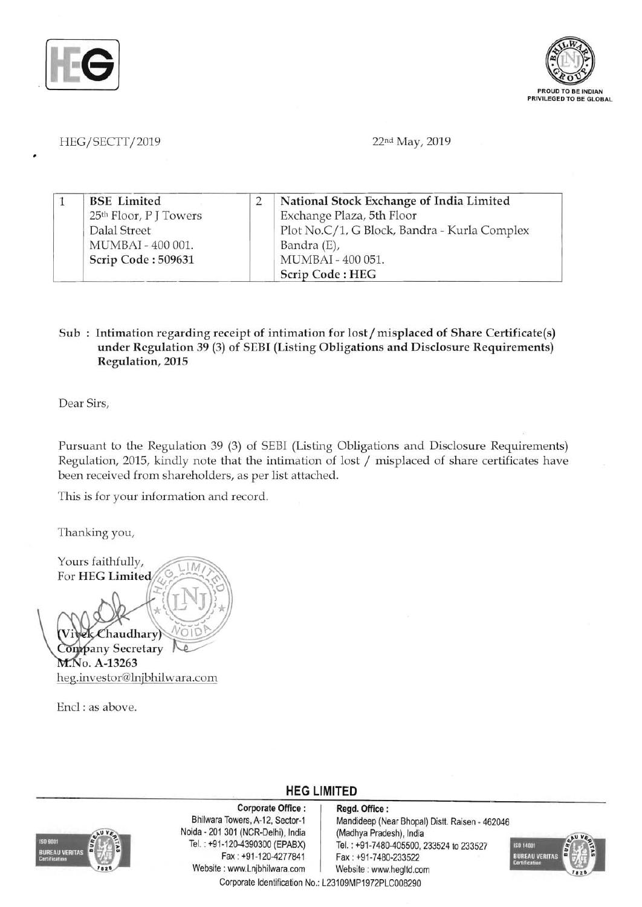



HEG/SECTT/2019 22nd May, 2019

|  | <b>BSE</b> Limited                 | National Stock Exchange of India Limited     |
|--|------------------------------------|----------------------------------------------|
|  | 25 <sup>th</sup> Floor, P J Towers | Exchange Plaza, 5th Floor                    |
|  | Dalal Street                       | Plot No.C/1, G Block, Bandra - Kurla Complex |
|  | MUMBAI - 400 001.                  | Bandra (E),                                  |
|  | Scrip Code: 509631                 | MUMBAI - 400 051.                            |
|  |                                    | Scrip Code: HEG                              |

## Sub: Intimation regarding receipt of intimation for lost/misplaced of Share Certificate(s) under Regulation 39 (3) of SEBI (Listing Obligations and Disclosure Requirements) Regulation, 2015

Dear Sirs,

Pursuant to the Regulation 39 (3) of SEBI (Listing Obligations and Disclosure Requirements) Regulation, 2015, kindly note that the intimation of lost / misplaced of share certificates have been received from shareholders, as per list attached.

This is for your information and record.

Thanking you,

Yours faithfully, For HEG Limite haudhary! Company Secretary M.No. A-13263 heg.investor@lnjbhilwara.com

Encl : as above.



Corporate Office: | Regd. Office: Noida - 201 301 (NCR-Delhi), India (Madhya Pradesh), India Website: www.Lnjbhilwara.com | Website: www.hegltd.com

Bhilwara Towers, A-12, Sector-1 Mandideep (Near Bhopal) Distt. Raisen - 462046 Tel. : +91-120-4390300 (EPABX) Tel. : +91-7480-405500, 233524 to 233527<br>Fax : +91-120-4277841 Fax : +91-7480-233522 Fax: +91-7480-233522



Corporate Identification No.: L23109MP1972PLC008290

**HEG LIMITED**